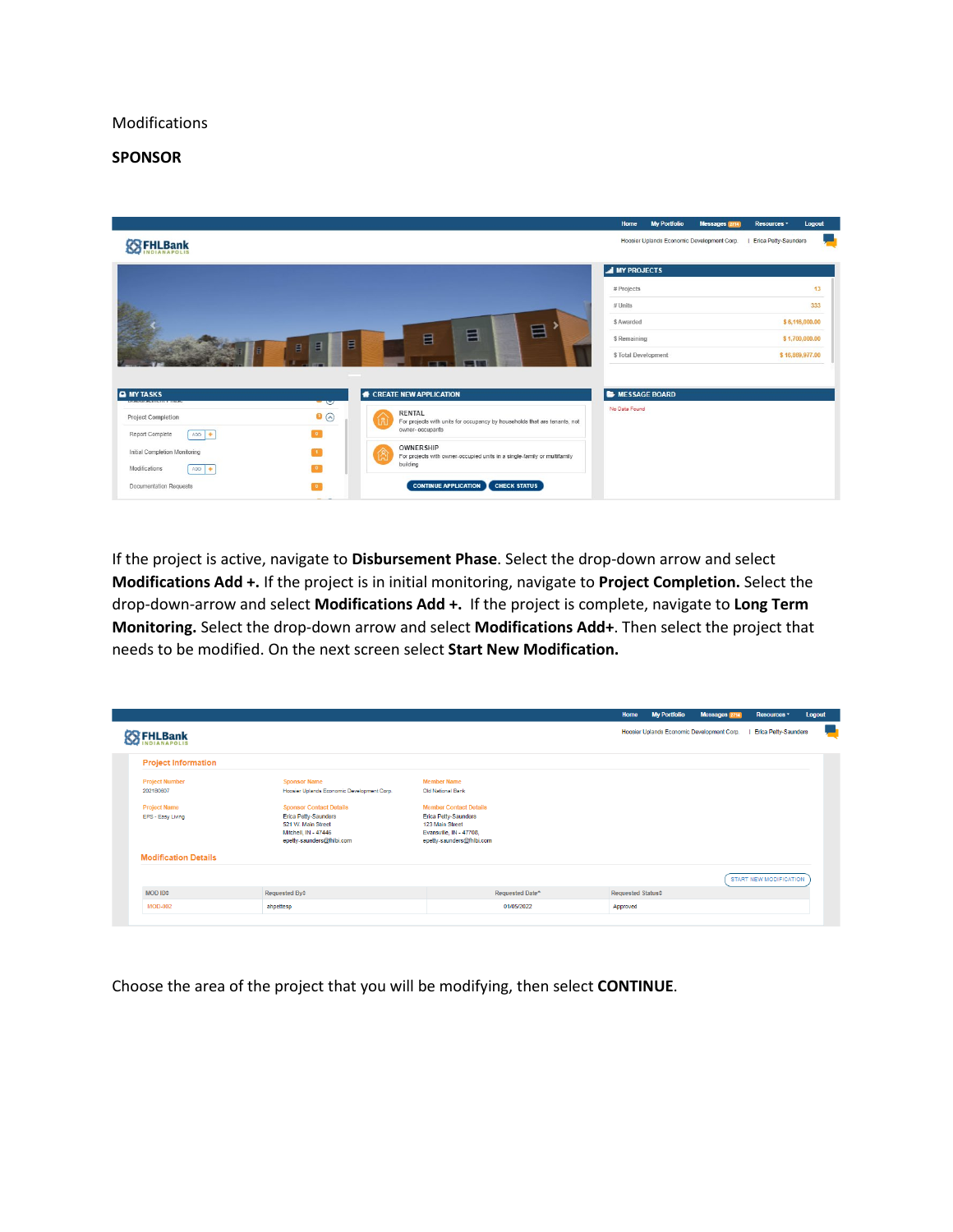## Modifications

## **SPONSOR**



If the project is active, navigate to **Disbursement Phase**. Select the drop-down arrow and select **Modifications Add +.** If the project is in initial monitoring, navigate to **Project Completion.** Select the drop-down-arrow and select **Modifications Add +.** If the project is complete, navigate to **Long Term Monitoring.** Select the drop-down arrow and select **Modifications Add+**. Then select the project that needs to be modified. On the next screen select **Start New Modification.**

|                             |                                                   |                                                |                 | Home              | <b>My Portfolio</b> | Messages 2714<br>Hoosier Uplands Economic Development Corp. | Resources *<br><b>Erica Petty-Saunders</b> | Logout |
|-----------------------------|---------------------------------------------------|------------------------------------------------|-----------------|-------------------|---------------------|-------------------------------------------------------------|--------------------------------------------|--------|
| FHLBank                     |                                                   |                                                |                 |                   |                     |                                                             |                                            |        |
| <b>Project Information</b>  |                                                   |                                                |                 |                   |                     |                                                             |                                            |        |
| <b>Project Number</b>       | <b>Sponsor Name</b>                               | <b>Member Name</b>                             |                 |                   |                     |                                                             |                                            |        |
| 2021B0607                   | Hoosier Uplands Economic Development Corp.        | Old National Bank                              |                 |                   |                     |                                                             |                                            |        |
| <b>Project Name</b>         | <b>Sponsor Contact Details</b>                    | <b>Member Contact Details</b>                  |                 |                   |                     |                                                             |                                            |        |
| EPS - Easy Living           | <b>Erica Petty-Saunders</b><br>521 W. Main Street | <b>Erica Petty-Saunders</b><br>123 Main Street |                 |                   |                     |                                                             |                                            |        |
|                             | Mitchell, IN - 47446                              | Evansville, IN - 47708,                        |                 |                   |                     |                                                             |                                            |        |
|                             | epetty-saunders@fhlbi.com                         | epetty-saunders@fhlbi.com                      |                 |                   |                     |                                                             |                                            |        |
| <b>Modification Details</b> |                                                   |                                                |                 |                   |                     |                                                             |                                            |        |
|                             |                                                   |                                                |                 |                   |                     |                                                             | <b>START NEW MODIFICATION</b>              |        |
| MOD ID <sup>+</sup>         | Requested By $\div$                               |                                                | Requested Date* | Requested Status# |                     |                                                             |                                            |        |
| <b>MOD-002</b>              | ahpettesp                                         |                                                | 01/05/2022      | Approved          |                     |                                                             |                                            |        |

Choose the area of the project that you will be modifying, then select **CONTINUE**.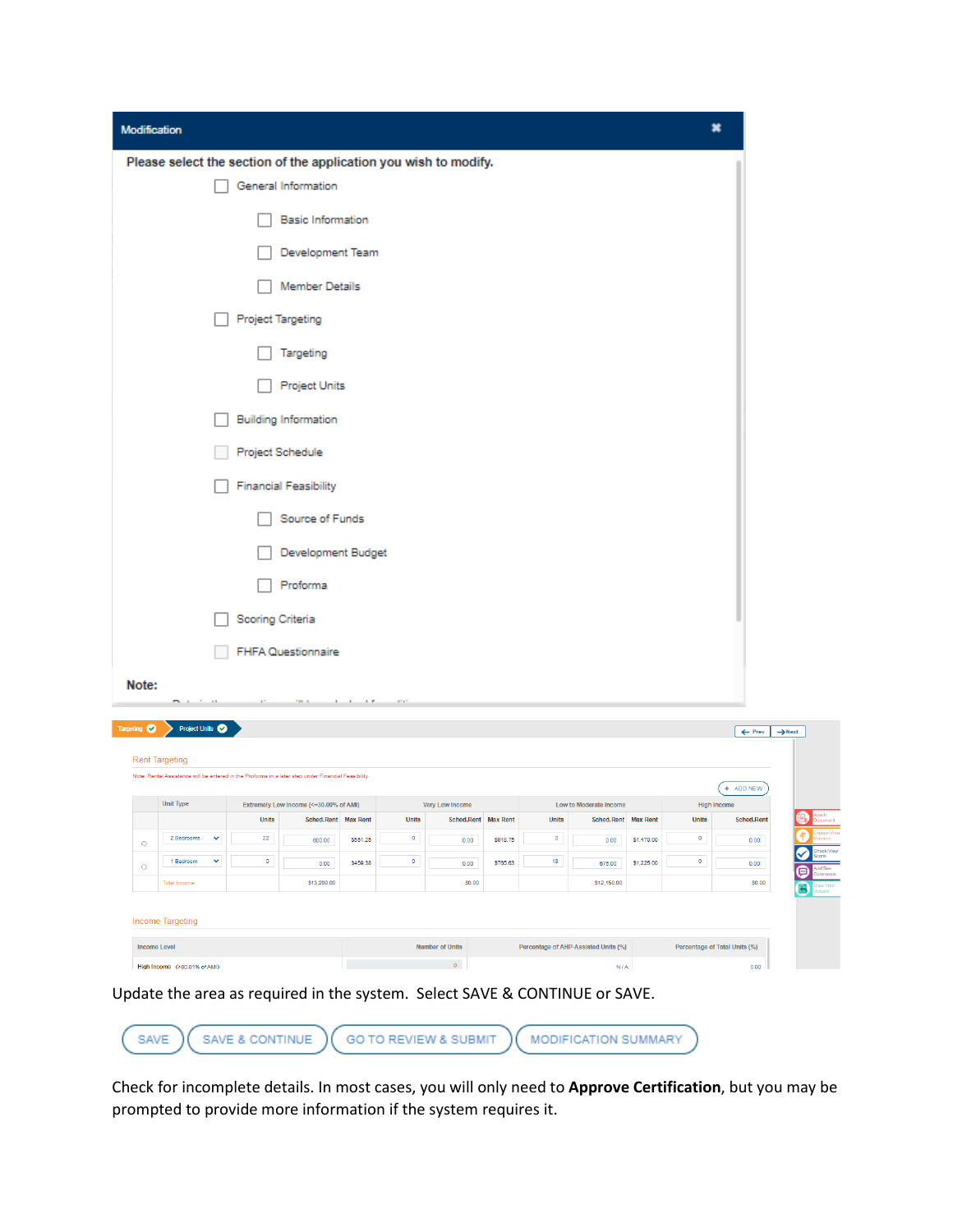| Please select the section of the application you wish to modify.<br>General Information<br><b>Basic Information</b><br><b>Member Details</b><br><b>Project Targeting</b><br>Targeting<br><b>Project Units</b><br><b>Building Information</b><br>Project Schedule<br><b>Financial Feasibility</b><br>Source of Funds<br>Proforma | Development Team<br>Development Budget |                                                                                                                                                                                                      |                                          |                                                  |                                 |                                       |                                               |                                   |                                        |
|---------------------------------------------------------------------------------------------------------------------------------------------------------------------------------------------------------------------------------------------------------------------------------------------------------------------------------|----------------------------------------|------------------------------------------------------------------------------------------------------------------------------------------------------------------------------------------------------|------------------------------------------|--------------------------------------------------|---------------------------------|---------------------------------------|-----------------------------------------------|-----------------------------------|----------------------------------------|
|                                                                                                                                                                                                                                                                                                                                 |                                        |                                                                                                                                                                                                      |                                          |                                                  |                                 |                                       |                                               |                                   |                                        |
|                                                                                                                                                                                                                                                                                                                                 |                                        |                                                                                                                                                                                                      |                                          |                                                  |                                 |                                       |                                               |                                   |                                        |
|                                                                                                                                                                                                                                                                                                                                 |                                        |                                                                                                                                                                                                      |                                          |                                                  |                                 |                                       |                                               |                                   |                                        |
|                                                                                                                                                                                                                                                                                                                                 |                                        |                                                                                                                                                                                                      |                                          |                                                  |                                 |                                       |                                               |                                   |                                        |
|                                                                                                                                                                                                                                                                                                                                 |                                        |                                                                                                                                                                                                      |                                          |                                                  |                                 |                                       |                                               |                                   |                                        |
|                                                                                                                                                                                                                                                                                                                                 |                                        |                                                                                                                                                                                                      |                                          |                                                  |                                 |                                       |                                               |                                   |                                        |
|                                                                                                                                                                                                                                                                                                                                 |                                        |                                                                                                                                                                                                      |                                          |                                                  |                                 |                                       |                                               |                                   |                                        |
|                                                                                                                                                                                                                                                                                                                                 |                                        |                                                                                                                                                                                                      |                                          |                                                  |                                 |                                       |                                               |                                   |                                        |
|                                                                                                                                                                                                                                                                                                                                 |                                        |                                                                                                                                                                                                      |                                          |                                                  |                                 |                                       |                                               |                                   |                                        |
|                                                                                                                                                                                                                                                                                                                                 |                                        |                                                                                                                                                                                                      |                                          |                                                  |                                 |                                       |                                               |                                   |                                        |
|                                                                                                                                                                                                                                                                                                                                 |                                        |                                                                                                                                                                                                      |                                          |                                                  |                                 |                                       |                                               |                                   |                                        |
|                                                                                                                                                                                                                                                                                                                                 |                                        |                                                                                                                                                                                                      |                                          |                                                  |                                 |                                       |                                               |                                   |                                        |
|                                                                                                                                                                                                                                                                                                                                 |                                        |                                                                                                                                                                                                      |                                          |                                                  |                                 |                                       |                                               |                                   |                                        |
|                                                                                                                                                                                                                                                                                                                                 |                                        |                                                                                                                                                                                                      |                                          |                                                  |                                 |                                       |                                               |                                   |                                        |
| Scoring Criteria                                                                                                                                                                                                                                                                                                                |                                        |                                                                                                                                                                                                      |                                          |                                                  |                                 |                                       |                                               |                                   |                                        |
| <b>FHFA Questionnaire</b>                                                                                                                                                                                                                                                                                                       |                                        |                                                                                                                                                                                                      |                                          |                                                  |                                 |                                       |                                               |                                   |                                        |
|                                                                                                                                                                                                                                                                                                                                 | $\cdot$                                |                                                                                                                                                                                                      |                                          |                                                  |                                 |                                       |                                               |                                   |                                        |
| Project Units                                                                                                                                                                                                                                                                                                                   |                                        |                                                                                                                                                                                                      |                                          |                                                  |                                 |                                       |                                               |                                   | $\leftarrow$ Prev                      |
|                                                                                                                                                                                                                                                                                                                                 |                                        |                                                                                                                                                                                                      |                                          |                                                  |                                 |                                       |                                               |                                   |                                        |
|                                                                                                                                                                                                                                                                                                                                 |                                        |                                                                                                                                                                                                      |                                          |                                                  |                                 |                                       |                                               |                                   | + ADD NEW                              |
|                                                                                                                                                                                                                                                                                                                                 |                                        |                                                                                                                                                                                                      |                                          |                                                  |                                 |                                       |                                               |                                   | <b>High Income</b>                     |
|                                                                                                                                                                                                                                                                                                                                 |                                        |                                                                                                                                                                                                      |                                          |                                                  |                                 |                                       |                                               |                                   | Sched.Rent                             |
| $\checkmark$                                                                                                                                                                                                                                                                                                                    |                                        |                                                                                                                                                                                                      |                                          |                                                  |                                 |                                       |                                               |                                   | 0.00                                   |
|                                                                                                                                                                                                                                                                                                                                 | \$459.38                               |                                                                                                                                                                                                      | 0.00                                     | \$765.63                                         |                                 | 675.00                                | \$1,225.00                                    |                                   | 0.00<br>\$0.00                         |
| $\sim$                                                                                                                                                                                                                                                                                                                          | Units<br>$22\phantom{.0}$<br>$\bullet$ | Note: Rental Assistance will be entered in the Proforma in a later step under Financial Feasibility.<br>Extremely Low Income (<= 30.00% of AMI)<br>Sched.Rent Max Rent<br>600.00<br>\$551.25<br>0.00 | <b>Units</b><br>$\bullet$<br>$\mathbf 0$ | Very Low Income<br>0.00<br>\$13,200.00<br>\$0.00 | Sched.Rent Max Rent<br>\$918.75 | Units<br>$\bullet$<br>18 <sup>°</sup> | Low to Moderate Income<br>0.00<br>\$12,150.00 | Sched.Rent Max Rent<br>\$1,470.00 | <b>Units</b><br>$\bullet$<br>$\bullet$ |

| Income Targeting             |                        |                                      |                               |
|------------------------------|------------------------|--------------------------------------|-------------------------------|
|                              |                        |                                      |                               |
| Income Level                 | <b>Number of Units</b> | Percentage of AHP-Assisted Units (%) | Percentage of Total Units (%) |
| High Income (>80,01% of AMI) |                        | N/A                                  | 0.00                          |

Update the area as required in the system. Select SAVE & CONTINUE or SAVE.



Check for incomplete details. In most cases, you will only need to **Approve Certification**, but you may be prompted to provide more information if the system requires it.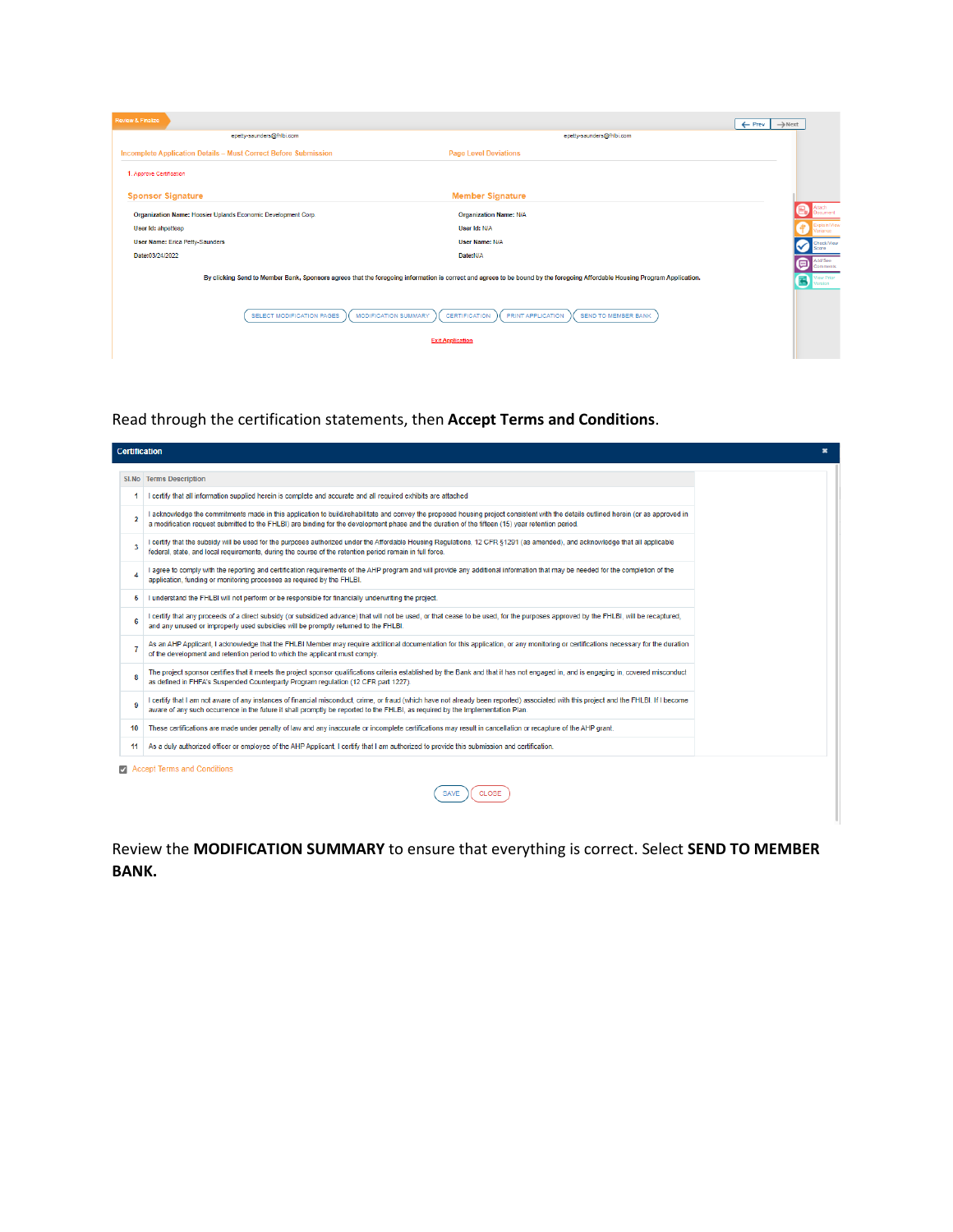| <b>Review &amp; Finalize</b>                                           |                                                                                                                                                                            | $\leftarrow$ Prev | $\rightarrow$ Next |                                   |
|------------------------------------------------------------------------|----------------------------------------------------------------------------------------------------------------------------------------------------------------------------|-------------------|--------------------|-----------------------------------|
| epetty-saunders@fhibi.com                                              | epetty-saunders@fhibi.com                                                                                                                                                  |                   |                    |                                   |
| <b>Incomplete Application Details - Must Correct Before Submission</b> | <b>Page Level Deviations</b>                                                                                                                                               |                   |                    |                                   |
| 1. Approve Certification                                               |                                                                                                                                                                            |                   |                    |                                   |
| <b>Sponsor Signature</b>                                               | <b>Member Signature</b>                                                                                                                                                    |                   |                    |                                   |
| Organization Name: Hoosier Uplands Economic Development Corp.          | <b>Organization Name: N/A</b>                                                                                                                                              |                   |                    | cument                            |
| User Id: ahpettesp                                                     | User Id: N/A                                                                                                                                                               |                   |                    | Explain/View<br>ariance           |
| <b>User Name: Erica Petty-Saunders</b>                                 | User Name: N/A                                                                                                                                                             |                   |                    | Check/View<br>core                |
| Date:03/24/2022                                                        | Date:N/A                                                                                                                                                                   |                   | (⊟                 | Add/See                           |
|                                                                        | By clicking Send to Member Bank, Sponsors agrees that the foregoing information is correct and agrees to be bound by the foregoing Affordable Housing Program Application. |                   | $\leftarrow$       | Comments<br>View Prior<br>Version |
| SELECT MODIFICATION PAGES<br><b>MODIFICATION SUMMARY</b>               | PRINT APPLICATION<br><b>CERTIFICATION</b><br><b>SEND TO MEMBER BANK</b>                                                                                                    |                   |                    |                                   |
|                                                                        | <b>Exit Application</b>                                                                                                                                                    |                   |                    |                                   |
|                                                                        |                                                                                                                                                                            |                   |                    |                                   |

Read through the certification statements, then **Accept Terms and Conditions**.

|    | <b>Certification</b>                                                                                                                                                                                                                                                                                                                    |  |
|----|-----------------------------------------------------------------------------------------------------------------------------------------------------------------------------------------------------------------------------------------------------------------------------------------------------------------------------------------|--|
|    | SI.No Terms Description                                                                                                                                                                                                                                                                                                                 |  |
|    | I certify that all information supplied herein is complete and accurate and all required exhibits are attached                                                                                                                                                                                                                          |  |
| 2  | I acknowledge the commitments made in this application to build/rehabilitate and convey the proposed housing project consistent with the details outlined herein (or as approved in<br>a modification request submitted to the FHLBI) are binding for the development phase and the duration of the fifteen (15) year retention period. |  |
| 3  | I certify that the subsidy will be used for the purposes authorized under the Affordable Housing Regulations, 12 CFR §1291 (as amended), and acknowledge that all applicable<br>federal, state, and local requirements, during the course of the retention period remain in full force.                                                 |  |
| Δ  | I agree to comply with the reporting and certification requirements of the AHP program and will provide any additional information that may be needed for the completion of the<br>application, funding or monitoring processes as required by the FHLBI.                                                                               |  |
| 5  | I understand the FHLBI will not perform or be responsible for financially underwriting the project.                                                                                                                                                                                                                                     |  |
| 6  | I certify that any proceeds of a direct subsidy (or subsidized advance) that will not be used, or that cease to be used, for the purposes approved by the FHLBI, will be recaptured,<br>and any unused or improperly used subsidies will be promptly returned to the FHLBI.                                                             |  |
| 7  | As an AHP Applicant, I acknowledge that the FHLBI Member may require additional documentation for this application, or any monitoring or certifications necessary for the duration<br>of the development and retention period to which the applicant must comply.                                                                       |  |
| 8  | The project sponsor certifies that it meets the project sponsor qualifications criteria established by the Bank and that it has not engaged in, and is engaging in, covered misconduct<br>as defined in FHFA's Suspended Counterparty Program regulation (12 CFR part 1227).                                                            |  |
| ۹  | I certify that I am not aware of any instances of financial misconduct, crime, or fraud (which have not already been reported) associated with this project and the FHLBI. If I become<br>aware of any such occurrence in the future it shall promptly be reported to the FHLBI, as required by the Implementation Plan.                |  |
| 10 | These certifications are made under penalty of law and any inaccurate or incomplete certifications may result in cancellation or recapture of the AHP grant.                                                                                                                                                                            |  |
| 11 | As a duly authorized officer or employee of the AHP Applicant. I certify that I am authorized to provide this submission and certification.                                                                                                                                                                                             |  |
|    | Accept Terms and Conditions                                                                                                                                                                                                                                                                                                             |  |
|    | CLOSE<br><b>SAVE</b>                                                                                                                                                                                                                                                                                                                    |  |

Review the **MODIFICATION SUMMARY** to ensure that everything is correct. Select **SEND TO MEMBER BANK.**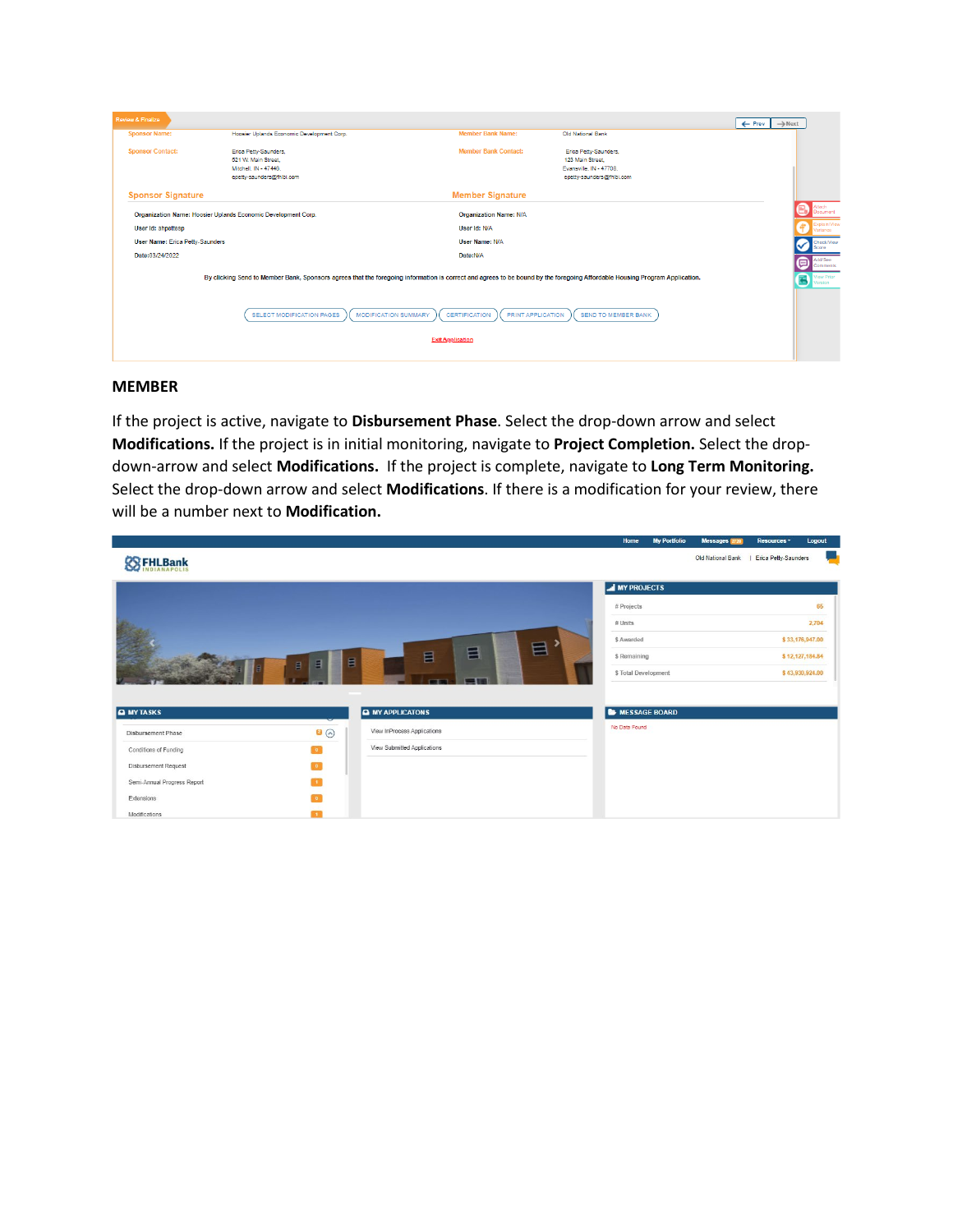| <b>Review &amp; Finalize</b>                                                                                                                                               |                                                                                                    |                               |                                                                                                  | $\rightarrow$ Next<br>$\leftarrow$ Prev |  |  |  |  |
|----------------------------------------------------------------------------------------------------------------------------------------------------------------------------|----------------------------------------------------------------------------------------------------|-------------------------------|--------------------------------------------------------------------------------------------------|-----------------------------------------|--|--|--|--|
| <b>Sponsor Name:</b>                                                                                                                                                       | Hoosier Uplands Economic Development Corp.                                                         | <b>Member Bank Name:</b>      | Old National Bank                                                                                |                                         |  |  |  |  |
| <b>Sponsor Contact:</b>                                                                                                                                                    | Erica Petty-Saunders,<br>521 W. Main Street.<br>Mitchell, IN - 47446.<br>epetty-saunders@fhlbi.com | <b>Member Bank Contact:</b>   | Erica Petty-Saunders,<br>123 Main Street<br>Evansville, IN - 47708.<br>epetty-saunders@fhlbi.com |                                         |  |  |  |  |
| <b>Sponsor Signature</b>                                                                                                                                                   |                                                                                                    | <b>Member Signature</b>       |                                                                                                  |                                         |  |  |  |  |
|                                                                                                                                                                            | Organization Name: Hoosier Uplands Economic Development Corp.                                      | <b>Organization Name: N/A</b> |                                                                                                  | ocument                                 |  |  |  |  |
| User Id: ahpettesp                                                                                                                                                         |                                                                                                    | User Id: N/A                  |                                                                                                  | Explain/View<br>Variance                |  |  |  |  |
| <b>User Name: Erica Petty-Saunders</b>                                                                                                                                     |                                                                                                    | User Name: N/A                |                                                                                                  | Check/View<br>Score                     |  |  |  |  |
| Date:03/24/2022                                                                                                                                                            |                                                                                                    | Date:N/A                      |                                                                                                  | Add/See<br>▣<br>Comments                |  |  |  |  |
| By clicking Send to Member Bank, Sponsors agrees that the foregoing information is correct and agrees to be bound by the foregoing Affordable Housing Program Application. |                                                                                                    |                               |                                                                                                  |                                         |  |  |  |  |
| PRINT APPLICATION<br><b>SELECT MODIFICATION PAGES</b><br><b>MODIFICATION SUMMARY</b><br><b>CERTIFICATION</b><br><b>SEND TO MEMBER BANK</b>                                 |                                                                                                    |                               |                                                                                                  |                                         |  |  |  |  |
|                                                                                                                                                                            | <b>Exit Application</b>                                                                            |                               |                                                                                                  |                                         |  |  |  |  |
|                                                                                                                                                                            |                                                                                                    |                               |                                                                                                  |                                         |  |  |  |  |

## **MEMBER**

If the project is active, navigate to **Disbursement Phase**. Select the drop-down arrow and select **Modifications.** If the project is in initial monitoring, navigate to **Project Completion.** Select the dropdown-arrow and select **Modifications.** If the project is complete, navigate to **Long Term Monitoring.**  Select the drop-down arrow and select **Modifications**. If there is a modification for your review, there will be a number next to **Modification.**

|                             |                          |                             | Home                 | <b>My Portfolio</b> | Messages 2720     | Resources *          | Logout          |
|-----------------------------|--------------------------|-----------------------------|----------------------|---------------------|-------------------|----------------------|-----------------|
| <b>ES FHLBank</b>           |                          |                             |                      |                     | Old National Bank | Erica Petty-Saunders |                 |
|                             |                          |                             | <b>MY PROJECTS</b>   |                     |                   |                      |                 |
|                             |                          |                             | # Projects           |                     |                   |                      | 65              |
|                             |                          |                             | $#$ Units            |                     |                   |                      | 2,704           |
|                             |                          |                             | \$ Awarded<br>目      |                     |                   |                      | \$33,176,947.00 |
|                             | Е<br>目                   | 冒<br>目<br>$\blacksquare$    | \$ Remaining         |                     |                   |                      | \$12,127,184.84 |
|                             |                          | 1974                        | \$ Total Development |                     |                   |                      | \$43,930,924.00 |
|                             |                          |                             |                      |                     |                   |                      |                 |
| <b>A</b> MY TASKS           |                          | <b>MY APPLICATONS</b>       | MESSAGE BOARD        |                     |                   |                      |                 |
| Disbursement Phase          | 0                        | View InProcess Applications | No Data Found        |                     |                   |                      |                 |
| Conditions of Funding       | $\overline{\phantom{a}}$ | View Submitted Applications |                      |                     |                   |                      |                 |
| Disbursement Request        | $\overline{\phantom{a}}$ |                             |                      |                     |                   |                      |                 |
| Semi-Annual Progress Report | $\mathbf{f}$             |                             |                      |                     |                   |                      |                 |
| Extensions                  | $\mathbf{0}$             |                             |                      |                     |                   |                      |                 |
| Modifications               | $\mathbf{1}$             |                             |                      |                     |                   |                      |                 |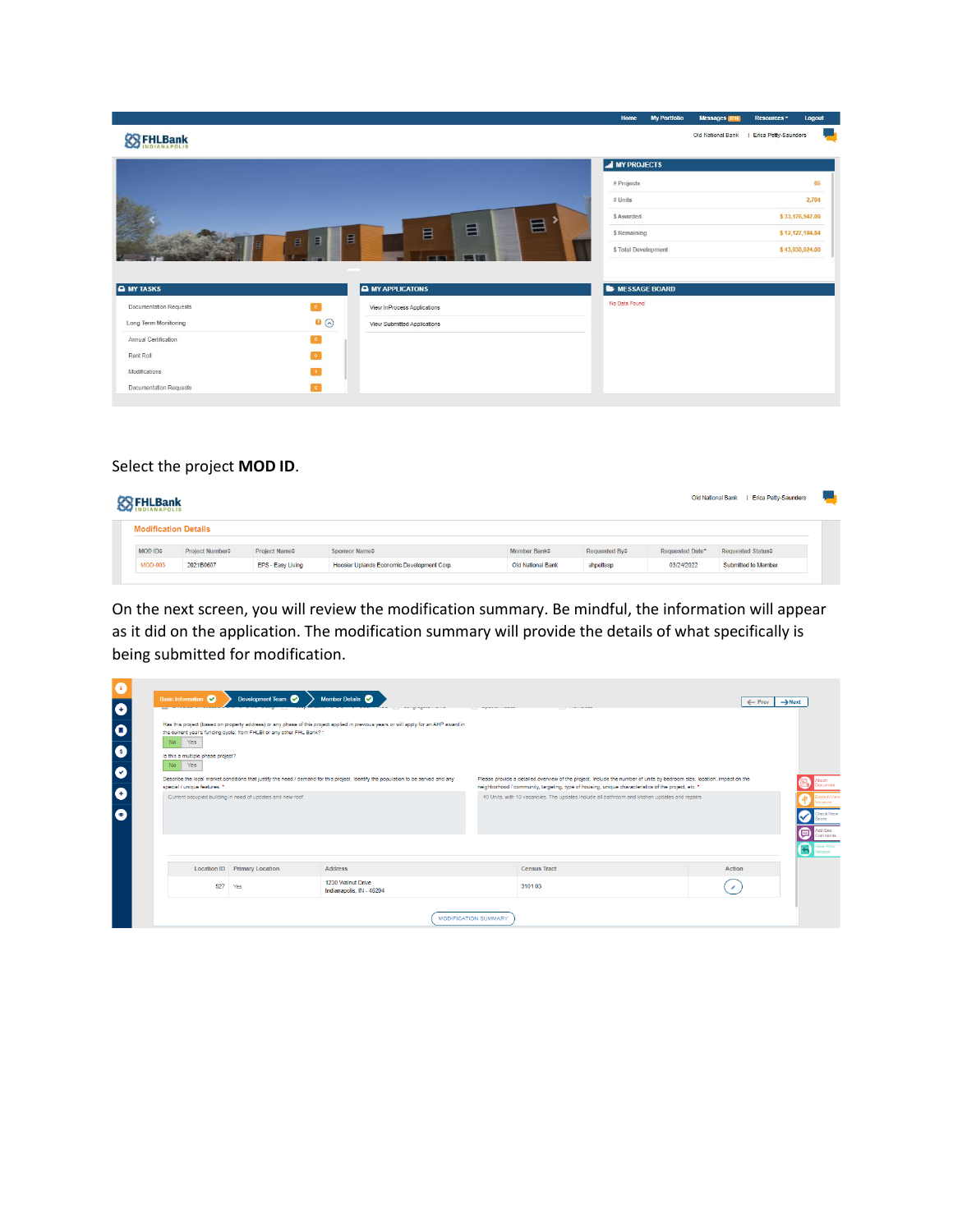|                        |                   |                             | Home                   | <b>My Portfolio</b> | Messages 2716     | Resources *          | Logout          |
|------------------------|-------------------|-----------------------------|------------------------|---------------------|-------------------|----------------------|-----------------|
| <b>SSEHLBank</b>       |                   |                             |                        |                     | Old National Bank | Erica Petty-Saunders |                 |
|                        |                   |                             | <b>MY PROJECTS</b>     |                     |                   |                      |                 |
|                        |                   |                             | # Projects             |                     |                   |                      | 65              |
|                        |                   |                             | $#$ Units              |                     |                   |                      | 2,704           |
|                        |                   | 冒                           | \$ Awarded             |                     |                   |                      | \$33,176,947.00 |
|                        | E<br>目            | 目<br>目<br>$\blacksquare$    | \$ Remaining           |                     |                   |                      | \$12,127,184.84 |
|                        |                   | m                           | \$ Total Development   |                     |                   |                      | \$43,930,924.00 |
|                        |                   |                             |                        |                     |                   |                      |                 |
| <b>A</b> MY TASKS      |                   | <b>MY APPLICATONS</b>       | <b>E</b> MESSAGE BOARD |                     |                   |                      |                 |
| Documentation Requests | $\bullet$         | View InProcess Applications | No Data Found          |                     |                   |                      |                 |
| Long Term Monitoring   | $\bullet$ $\odot$ | View Submitted Applications |                        |                     |                   |                      |                 |
| Annual Certification   | $\bullet$         |                             |                        |                     |                   |                      |                 |
| Rent Roll              | <b>D</b>          |                             |                        |                     |                   |                      |                 |
| Modifications          |                   |                             |                        |                     |                   |                      |                 |
| Documentation Requests |                   |                             |                        |                     |                   |                      |                 |

## Select the project **MOD ID**.

| <b>Erica Petty-Saunders</b><br><b>Old National Bank</b><br><b>SSEHLBank</b> |                             |                                                      |                                            |                                                     |               |                             |                     |
|-----------------------------------------------------------------------------|-----------------------------|------------------------------------------------------|--------------------------------------------|-----------------------------------------------------|---------------|-----------------------------|---------------------|
| <b>Modification Details</b>                                                 |                             |                                                      |                                            |                                                     |               |                             |                     |
| MOD ID <sup>+</sup>                                                         | Project Number <sup>+</sup> | Project Name <sup><math>\Leftrightarrow</math></sup> | Sponsor Name $\Leftrightarrow$             | Member Bank <sup><math>\Leftrightarrow</math></sup> | Requested By¢ | Requested Date <sup>*</sup> | Requested Status#   |
| <b>MOD-003</b>                                                              | 2021B0607                   | EPS - Easy Living                                    | Hoosier Uplands Economic Development Corp. | <b>Old National Bank</b>                            | ahpettesp     | 03/24/2022                  | Submitted to Member |

On the next screen, you will review the modification summary. Be mindful, the information will appear as it did on the application. The modification summary will provide the details of what specifically is being submitted for modification.

| $\bullet$<br>$\bullet$              | <b>Basic Information</b>                                                                                                                                                                                                                                                                                                                                                                             | Development Team                                                      | Member Details<br><b>A ROSE OF A ROOM</b>                                                                                             | <b>Contract Contract Contract Contract</b> | <b>Contract Contract Service</b> | $\leftarrow$ Prev<br>$\rightarrow$ Next |  |  |  |  |
|-------------------------------------|------------------------------------------------------------------------------------------------------------------------------------------------------------------------------------------------------------------------------------------------------------------------------------------------------------------------------------------------------------------------------------------------------|-----------------------------------------------------------------------|---------------------------------------------------------------------------------------------------------------------------------------|--------------------------------------------|----------------------------------|-----------------------------------------|--|--|--|--|
| $\bullet$<br>$\bullet$<br>$\bullet$ | No Yes<br>Is this a multiple phase project?<br>Yes<br>No.                                                                                                                                                                                                                                                                                                                                            | the current year's funding cycle, from FHLBI or any other FHL Bank? * | Has this project (based on property address) or any phase of this project applied in previous years or will apply for an AHP award in |                                            |                                  |                                         |  |  |  |  |
|                                     | Describe the local market conditions that justify the need / demand for this project. Identify the population to be served and any<br>Please provide a detailed overview of the project. Include the number of units by bedroom size, location, impact on the<br>special / unique features. *<br>neighborhood / community, targeting, type of housing, unique characteristics of the project, etc. * |                                                                       |                                                                                                                                       |                                            |                                  |                                         |  |  |  |  |
| $\bullet$<br>$\bullet$              | Current occupied building in need of updates and new roof.<br>40 Units, with 10 vacancies. The updates include all bathroom and kitchen updates and repairs.<br>sriance<br>heck/View                                                                                                                                                                                                                 |                                                                       |                                                                                                                                       |                                            |                                  |                                         |  |  |  |  |
|                                     | dd/See<br>▣<br>Comments<br>View Prior                                                                                                                                                                                                                                                                                                                                                                |                                                                       |                                                                                                                                       |                                            |                                  |                                         |  |  |  |  |
|                                     |                                                                                                                                                                                                                                                                                                                                                                                                      | <b>Location ID</b> Primary Location                                   | <b>Address</b>                                                                                                                        |                                            | <b>Census Tract</b>              | Action                                  |  |  |  |  |
|                                     | 527                                                                                                                                                                                                                                                                                                                                                                                                  | Yes                                                                   | 1230 Walnut Drive<br>Indianapolis, IN - 46204                                                                                         | 3101.03                                    |                                  | $\overline{ }$                          |  |  |  |  |
|                                     | <b>MODIFICATION SUMMARY</b>                                                                                                                                                                                                                                                                                                                                                                          |                                                                       |                                                                                                                                       |                                            |                                  |                                         |  |  |  |  |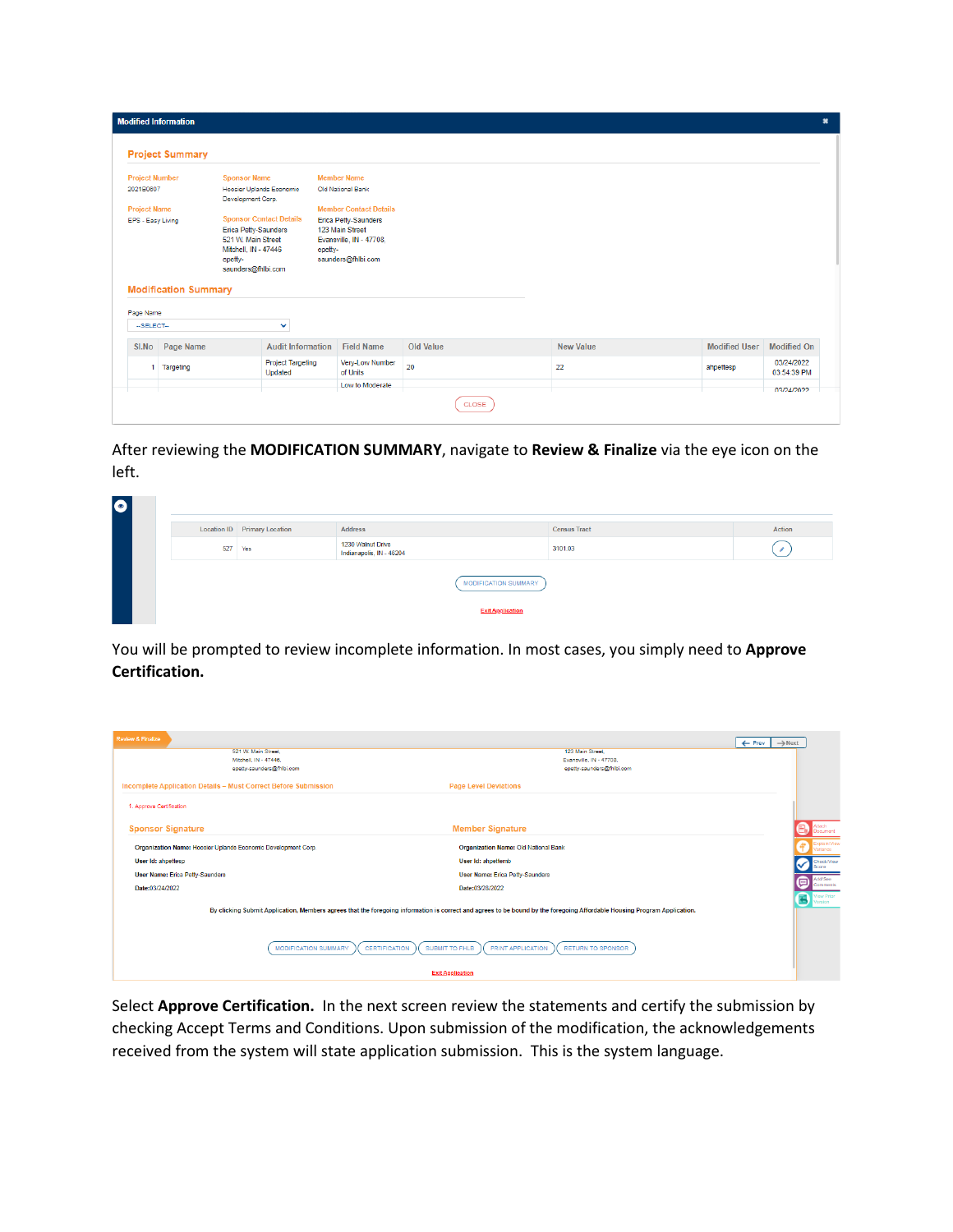| <b>Project Summary</b><br><b>Project Number</b><br><b>Sponsor Name</b><br><b>Member Name</b><br>Hoosier Uplands Economic<br>2021B0607<br>Old National Bank<br>Development Corp.<br><b>Member Contact Details</b><br><b>Project Name</b><br><b>Sponsor Contact Details</b><br><b>Erica Petty-Saunders</b><br>EPS - Easy Living<br>123 Main Street<br><b>Erica Petty-Saunders</b><br>521 W. Main Street<br>Evansville, IN - 47708,<br>Mitchell, IN - 47446<br>epetty-<br>saunders@fhlbi.com<br>epetty-<br>saunders@fhlbi.com<br><b>Modification Summary</b><br>Page Name<br>v<br>-- SELECT--<br><b>Modified On</b><br>SI.No Page Name<br><b>Audit Information</b><br><b>Field Name</b><br>Old Value<br><b>New Value</b><br><b>Modified User</b><br><b>Project Targeting</b><br>Very-Low Number<br>03/24/2022<br>20<br>22<br>Targeting<br>ahpettesp<br>of Units<br>03:54:39 PM<br>Updated<br>Low to Moderate<br>03/24/2022 | <b>Modified Information</b><br>$\mathbf{x}$ |  |  |  |  |  |  |  |  |  |
|-------------------------------------------------------------------------------------------------------------------------------------------------------------------------------------------------------------------------------------------------------------------------------------------------------------------------------------------------------------------------------------------------------------------------------------------------------------------------------------------------------------------------------------------------------------------------------------------------------------------------------------------------------------------------------------------------------------------------------------------------------------------------------------------------------------------------------------------------------------------------------------------------------------------------|---------------------------------------------|--|--|--|--|--|--|--|--|--|
|                                                                                                                                                                                                                                                                                                                                                                                                                                                                                                                                                                                                                                                                                                                                                                                                                                                                                                                         |                                             |  |  |  |  |  |  |  |  |  |
|                                                                                                                                                                                                                                                                                                                                                                                                                                                                                                                                                                                                                                                                                                                                                                                                                                                                                                                         |                                             |  |  |  |  |  |  |  |  |  |
|                                                                                                                                                                                                                                                                                                                                                                                                                                                                                                                                                                                                                                                                                                                                                                                                                                                                                                                         |                                             |  |  |  |  |  |  |  |  |  |
|                                                                                                                                                                                                                                                                                                                                                                                                                                                                                                                                                                                                                                                                                                                                                                                                                                                                                                                         |                                             |  |  |  |  |  |  |  |  |  |
|                                                                                                                                                                                                                                                                                                                                                                                                                                                                                                                                                                                                                                                                                                                                                                                                                                                                                                                         |                                             |  |  |  |  |  |  |  |  |  |
|                                                                                                                                                                                                                                                                                                                                                                                                                                                                                                                                                                                                                                                                                                                                                                                                                                                                                                                         |                                             |  |  |  |  |  |  |  |  |  |
|                                                                                                                                                                                                                                                                                                                                                                                                                                                                                                                                                                                                                                                                                                                                                                                                                                                                                                                         |                                             |  |  |  |  |  |  |  |  |  |

After reviewing the **MODIFICATION SUMMARY**, navigate to **Review & Finalize** via the eye icon on the left.

| $\bullet$ |                                                 |                                     |                                               |                     |        |  |  |  |
|-----------|-------------------------------------------------|-------------------------------------|-----------------------------------------------|---------------------|--------|--|--|--|
|           |                                                 | <b>Location ID</b> Primary Location | <b>Address</b>                                | <b>Census Tract</b> | Action |  |  |  |
|           | 527                                             | Yes                                 | 1230 Walnut Drive<br>Indianapolis, IN - 46204 | 3101.03             |        |  |  |  |
|           | MODIFICATION SUMMARY<br><b>Exit Application</b> |                                     |                                               |                     |        |  |  |  |

You will be prompted to review incomplete information. In most cases, you simply need to **Approve Certification.** 

| <b>Review &amp; Finalize</b>                                                                                                                                             |                                                                        | $\rightarrow$ Next<br>$\leftarrow$ Prev  |
|--------------------------------------------------------------------------------------------------------------------------------------------------------------------------|------------------------------------------------------------------------|------------------------------------------|
| 521 W. Main Street                                                                                                                                                       | 123 Main Street                                                        |                                          |
| Mitchell, IN - 47446.                                                                                                                                                    | Evansville, IN - 47708,                                                |                                          |
| epetty-saunders@fhlbi.com                                                                                                                                                | epetty-saunders@fhlbi.com                                              |                                          |
| Incomplete Application Details - Must Correct Before Submission                                                                                                          | <b>Page Level Deviations</b>                                           |                                          |
| 1. Approve Certification                                                                                                                                                 |                                                                        |                                          |
|                                                                                                                                                                          |                                                                        |                                          |
| <b>Sponsor Signature</b>                                                                                                                                                 | <b>Member Signature</b>                                                |                                          |
| Organization Name: Hoosier Uplands Economic Development Corp.                                                                                                            | Organization Name: Old National Bank                                   |                                          |
| User Id: ahpettesp                                                                                                                                                       | User Id: ahpettemb                                                     | Check/View                               |
| <b>User Name: Erica Petty-Saunders</b>                                                                                                                                   | <b>User Name: Erica Petty-Saunders</b>                                 | dd/See                                   |
| Date:03/24/2022                                                                                                                                                          | Date:03/28/2022                                                        | (⊟<br>Comments                           |
|                                                                                                                                                                          |                                                                        | <b>View Prior</b><br><b>C</b><br>Version |
| By clicking Submit Application, Members agrees that the foregoing information is correct and agrees to be bound by the foregoing Affordable Housing Program Application. |                                                                        |                                          |
|                                                                                                                                                                          |                                                                        |                                          |
|                                                                                                                                                                          |                                                                        |                                          |
| <b>MODIFICATION SUMMARY</b><br><b>CERTIFICATION</b>                                                                                                                      | SUBMIT TO FHLB<br><b>PRINT APPLICATION</b><br><b>RETURN TO SPONSOR</b> |                                          |
|                                                                                                                                                                          | <b>Exit Application</b>                                                |                                          |

Select **Approve Certification.** In the next screen review the statements and certify the submission by checking Accept Terms and Conditions. Upon submission of the modification, the acknowledgements received from the system will state application submission. This is the system language.